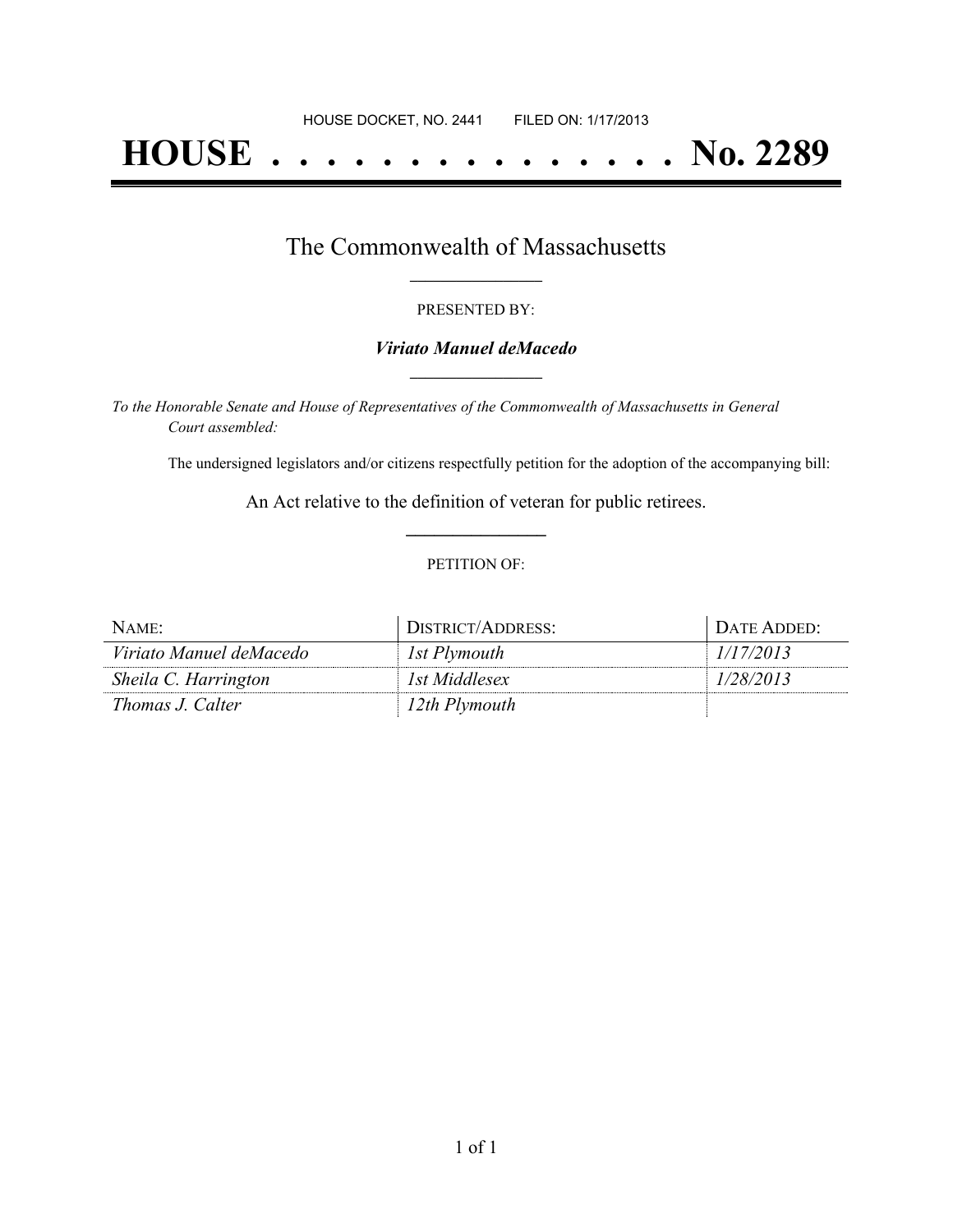# **HOUSE . . . . . . . . . . . . . . . No. 2289**

## The Commonwealth of Massachusetts **\_\_\_\_\_\_\_\_\_\_\_\_\_\_\_\_\_**

#### PRESENTED BY:

#### *Viriato Manuel deMacedo* **\_\_\_\_\_\_\_\_\_\_\_\_\_\_\_\_\_**

*To the Honorable Senate and House of Representatives of the Commonwealth of Massachusetts in General Court assembled:*

The undersigned legislators and/or citizens respectfully petition for the adoption of the accompanying bill:

An Act relative to the definition of veteran for public retirees. **\_\_\_\_\_\_\_\_\_\_\_\_\_\_\_**

#### PETITION OF:

| NAME:                   | DISTRICT/ADDRESS: | DATE ADDED: |
|-------------------------|-------------------|-------------|
| Viriato Manuel deMacedo | 1st Plymouth      | 1/17/2013   |
| Sheila C. Harrington    | 1st Middlesex     | 1/28/2013   |
| <i>Thomas J. Calter</i> | 12th Plymouth     |             |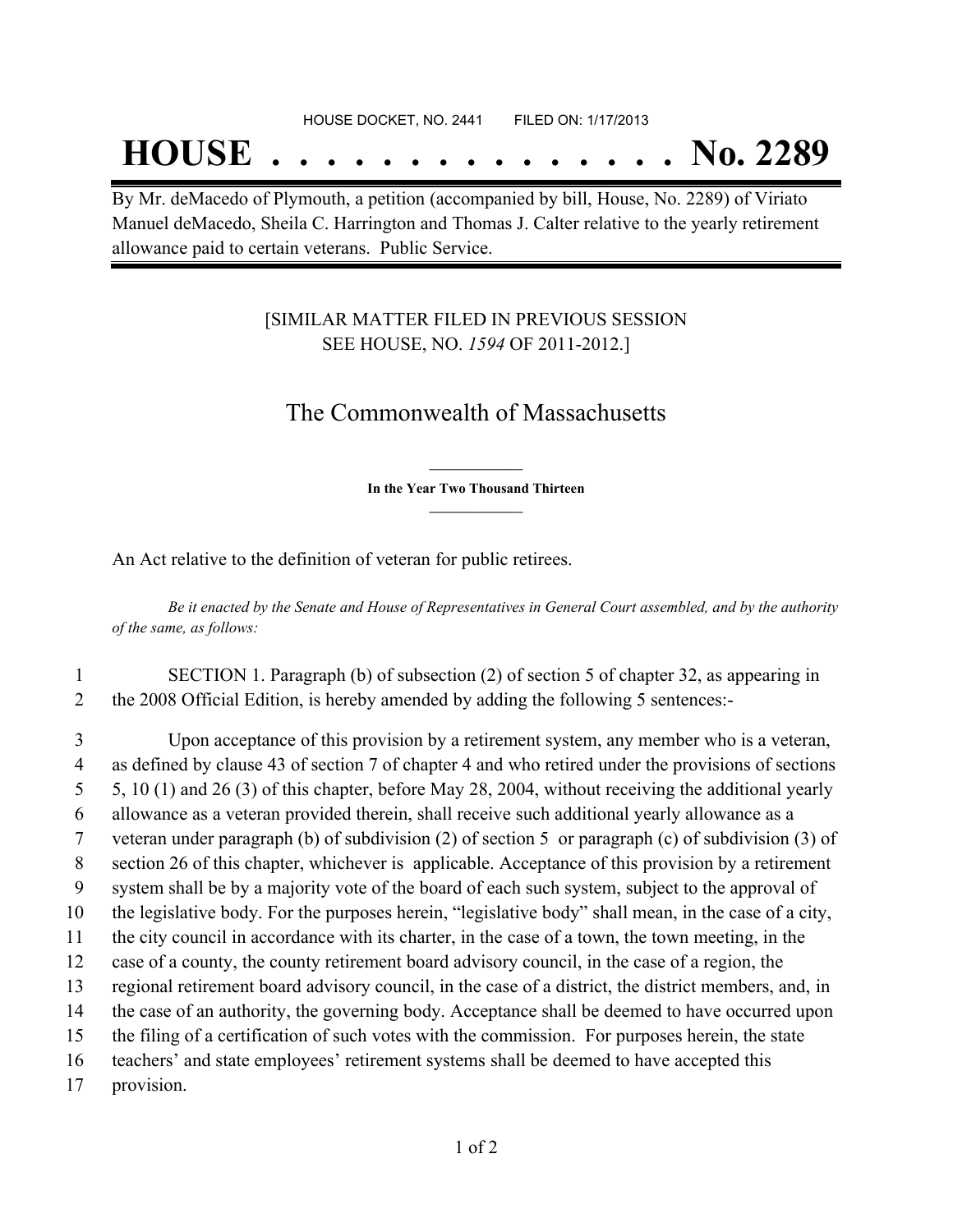## **HOUSE . . . . . . . . . . . . . . . No. 2289**

By Mr. deMacedo of Plymouth, a petition (accompanied by bill, House, No. 2289) of Viriato Manuel deMacedo, Sheila C. Harrington and Thomas J. Calter relative to the yearly retirement allowance paid to certain veterans. Public Service.

### [SIMILAR MATTER FILED IN PREVIOUS SESSION SEE HOUSE, NO. *1594* OF 2011-2012.]

## The Commonwealth of Massachusetts

**\_\_\_\_\_\_\_\_\_\_\_\_\_\_\_ In the Year Two Thousand Thirteen \_\_\_\_\_\_\_\_\_\_\_\_\_\_\_**

An Act relative to the definition of veteran for public retirees.

Be it enacted by the Senate and House of Representatives in General Court assembled, and by the authority *of the same, as follows:*

1 SECTION 1. Paragraph (b) of subsection (2) of section 5 of chapter 32, as appearing in 2 the 2008 Official Edition, is hereby amended by adding the following 5 sentences:-

 Upon acceptance of this provision by a retirement system, any member who is a veteran, as defined by clause 43 of section 7 of chapter 4 and who retired under the provisions of sections 5, 10 (1) and 26 (3) of this chapter, before May 28, 2004, without receiving the additional yearly allowance as a veteran provided therein, shall receive such additional yearly allowance as a veteran under paragraph (b) of subdivision (2) of section 5 or paragraph (c) of subdivision (3) of section 26 of this chapter, whichever is applicable. Acceptance of this provision by a retirement system shall be by a majority vote of the board of each such system, subject to the approval of the legislative body. For the purposes herein, "legislative body" shall mean, in the case of a city, the city council in accordance with its charter, in the case of a town, the town meeting, in the case of a county, the county retirement board advisory council, in the case of a region, the regional retirement board advisory council, in the case of a district, the district members, and, in the case of an authority, the governing body. Acceptance shall be deemed to have occurred upon the filing of a certification of such votes with the commission. For purposes herein, the state teachers' and state employees' retirement systems shall be deemed to have accepted this provision.